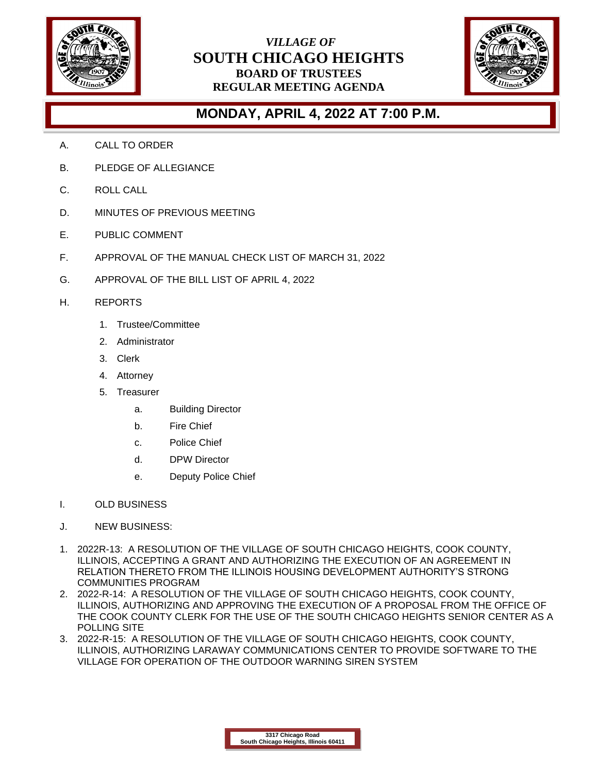

## *VILLAGE OF* **SOUTH CHICAGO HEIGHTS BOARD OF TRUSTEES REGULAR MEETING AGENDA**



## **MONDAY, APRIL 4, 2022 AT 7:00 P.M.**

- A. CALL TO ORDER
- B. PLEDGE OF ALLEGIANCE
- C. ROLL CALL
- D. MINUTES OF PREVIOUS MEETING
- E. PUBLIC COMMENT
- F. APPROVAL OF THE MANUAL CHECK LIST OF MARCH 31, 2022
- G. APPROVAL OF THE BILL LIST OF APRIL 4, 2022
- H. REPORTS
	- 1. Trustee/Committee
	- 2. Administrator
	- 3. Clerk
	- 4. Attorney
	- 5. Treasurer
		- a. Building Director
		- b. Fire Chief
		- c. Police Chief
		- d. DPW Director
		- e. Deputy Police Chief
- I. OLD BUSINESS
- J. NEW BUSINESS:
- 1. 2022R-13: A RESOLUTION OF THE VILLAGE OF SOUTH CHICAGO HEIGHTS, COOK COUNTY, ILLINOIS, ACCEPTING A GRANT AND AUTHORIZING THE EXECUTION OF AN AGREEMENT IN RELATION THERETO FROM THE ILLINOIS HOUSING DEVELOPMENT AUTHORITY'S STRONG COMMUNITIES PROGRAM
- 2. 2022-R-14: A RESOLUTION OF THE VILLAGE OF SOUTH CHICAGO HEIGHTS, COOK COUNTY, ILLINOIS, AUTHORIZING AND APPROVING THE EXECUTION OF A PROPOSAL FROM THE OFFICE OF THE COOK COUNTY CLERK FOR THE USE OF THE SOUTH CHICAGO HEIGHTS SENIOR CENTER AS A POLLING SITE
- 3. 2022-R-15: A RESOLUTION OF THE VILLAGE OF SOUTH CHICAGO HEIGHTS, COOK COUNTY, ILLINOIS, AUTHORIZING LARAWAY COMMUNICATIONS CENTER TO PROVIDE SOFTWARE TO THE VILLAGE FOR OPERATION OF THE OUTDOOR WARNING SIREN SYSTEM